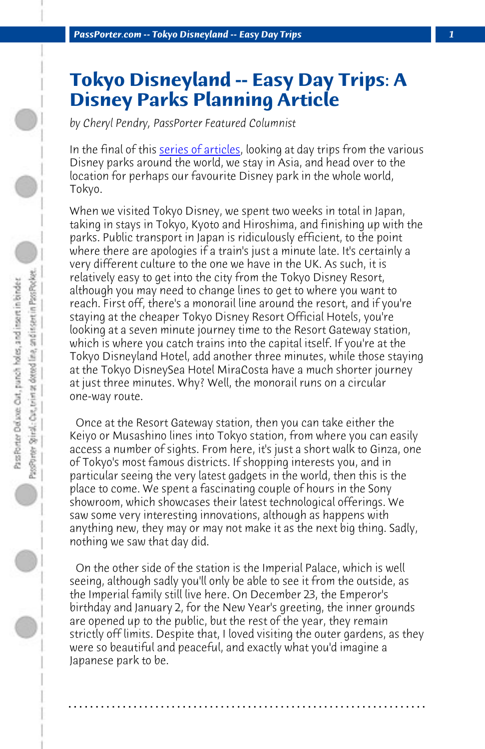*PassPorter.com -- Tokyo Disneyland -- Easy Day Trips 1*

## **Tokyo Disneyland -- Easy Day Trips: A Disney Parks Planning Article**

*by Cheryl Pendry, PassPorter Featured Columnist*

In the final of this series of articles, looking at day trips from the various Disney parks around the world, we stay in Asia, and head over to the location for perhaps our favourite Disney park in the whole world, Tokyo.

When we visited Tokyo Disney, we spent two weeks in total in Japan, taking in stays in Tokyo, Kyoto and Hiroshima, and finishing up with the parks. Public transport in Japan is ridiculously efficient, to the point where there are apologies if a train's just a minute late. It's certainly a very different culture to the one we have in the UK. As such, it is relatively easy to get into the city from the Tokyo Disney Resort, although you may need to change lines to get to where you want to reach. First off, there's a monorail line around the resort, and if you're staying at the cheaper Tokyo Disney Resort Official Hotels, you're looking at a seven minute journey time to the Resort Gateway station, which is where you catch trains into the capital itself. If you're at the Tokyo Disneyland Hotel, add another three minutes, while those staying at the Tokyo DisneySea Hotel MiraCosta have a much shorter journey at just three minutes. Why? Well, the monorail runs on a circular one-way route.

 Once at the Resort Gateway station, then you can take either the Keiyo or Musashino lines into Tokyo station, from where you can easily access a number of sights. From here, it's just a short walk to Ginza, one of Tokyo's most famous districts. If shopping interests you, and in particular seeing the very latest gadgets in the world, then this is the place to come. We spent a fascinating couple of hours in the Sony showroom, which showcases their latest technological offerings. We saw some very interesting innovations, although as happens with anything new, they may or may not make it as the next big thing. Sadly, nothing we saw that day did.

 On the other side of the station is the Imperial Palace, which is well seeing, although sadly you'll only be able to see it from the outside, as the Imperial family still live here. On December 23, the Emperor's birthday and January 2, for the New Year's greeting, the inner grounds are opened up to the public, but the rest of the year, they remain strictly off limits. Despite that, I loved visiting the outer gardens, as they were so beautiful and peaceful, and exactly what you'd imagine a Japanese park to be.

**. . . . . . . . . . . . . . . . . . . . . . . . . . . . . . . . . . . . . . . . . . . . . . . . . . . . . . . . . . . . . . . . . .**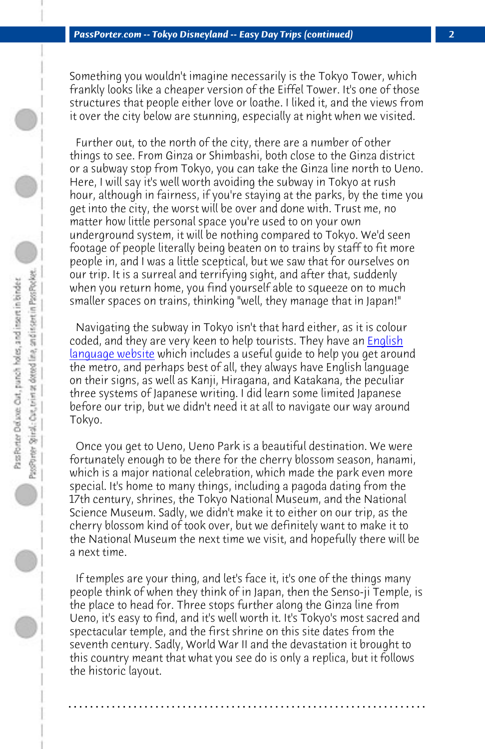*PassPorter.com -- Tokyo Disneyland -- Easy Day Trips (continued) 2*

Something you wouldn't imagine necessarily is the Tokyo Tower, which frankly looks like a cheaper version of the Eiffel Tower. It's one of those structures that people either love or loathe. I liked it, and the views from it over the city below are stunning, especially at night when [we visite](http://www.tokyometro.jp/en/)d.

 [Further out, to th](http://www.tokyometro.jp/en/)e north of the city, there are a number of other things to see. From Ginza or Shimbashi, both close to the Ginza district or a subway stop from Tokyo, you can take the Ginza line north to Ueno. Here, I will say it's well worth avoiding the subway in Tokyo at rush hour, although in fairness, if you're staying at the parks, by the time you get into the city, the worst will be over and done with. Trust me, no matter how little personal space you're used to on your own underground system, it will be nothing compared to Tokyo. We'd seen footage of people literally being beaten on to trains by staff to fit more people in, and I was a little sceptical, but we saw that for ourselves on our trip. It is a surreal and terrifying sight, and after that, suddenly when you return home, you find yourself able to squeeze on to much smaller spaces on trains, thinking "well, they manage that in Japan!"

 Navigating the subway in Tokyo isn't that hard either, as it is colour coded, and they are very keen to help tourists. They have an English language website which includes a useful guide to help you get around the metro, and perhaps best of all, they always have English language on their signs, as well as Kanji, Hiragana, and Katakana, the peculiar three systems of Japanese writing. I did learn some limited Japanese before our trip, but we didn't need it at all to navigate our way around Tokyo.

 Once you get to Ueno, Ueno Park is a beautiful destination. We were fortunately enough to be there for the cherry blossom season, hanami, which is a major national celebration, which made the park even more special. It's home to many things, including a pagoda dating from the 17th century, shrines, the Tokyo National Museum, and the National Science Museum. Sadly, we didn't make it to either on our trip, as the cherry blossom kind of took over, but we definitely want to make it to the National Museum the next time we visit, and hopefully there will be a next time.

 If temples are your thing, and let's face it, it's one of the things many people think of when they think of in Japan, then the Senso-ji Temple, is the place to head for. Three stops further along the Ginza line from Ueno, it's easy to find, and it's well worth it. It's Tokyo's most sacred and spectacular temple, and the first shrine on this site dates from the seventh century. Sadly, World War II and the devastation it brought to this country meant that what you see do is only a replica, but it follows the historic layout.

**. . . . . . . . . . . . . . . . . . . . . . . . . . . . . . . . . . . . . . . . . . . . . . . . . . . . . . . . . . . . . . . . . .**